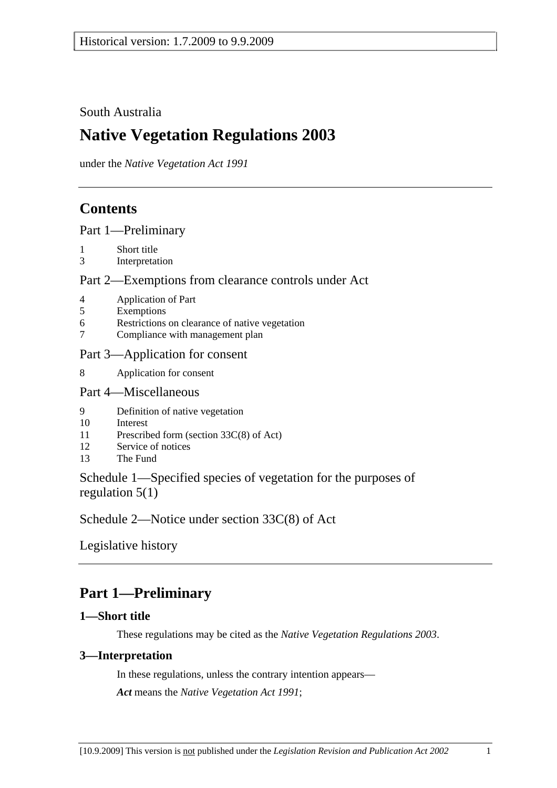# South Australia

# **Native Vegetation Regulations 2003**

under the *Native Vegetation Act 1991*

# **Contents**

Part 1—Preliminary

- 1 Short title
- 3 Interpretation

## Part 2—Exemptions from clearance controls under Act

- 4 Application of Part
- 5 Exemptions
- 6 Restrictions on clearance of native vegetation
- 7 Compliance with management plan

## Part 3—Application for consent

8 Application for consent

### Part 4—Miscellaneous

- 9 Definition of native vegetation
- 10 Interest
- 11 Prescribed form (section 33C(8) of Act)
- 12 Service of notices
- 13 The Fund

Schedule 1—Specified species of vegetation for the purposes of regulation 5(1)

Schedule 2—Notice under section 33C(8) of Act

Legislative history

# **Part 1—Preliminary**

## **1—Short title**

These regulations may be cited as the *Native Vegetation Regulations 2003*.

## **3—Interpretation**

In these regulations, unless the contrary intention appears— *Act* means the *Native Vegetation Act 1991*;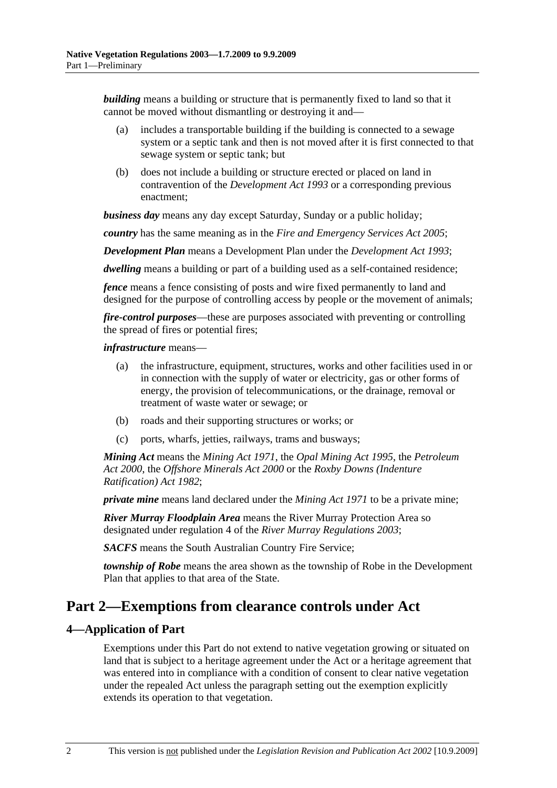*building* means a building or structure that is permanently fixed to land so that it cannot be moved without dismantling or destroying it and—

- (a) includes a transportable building if the building is connected to a sewage system or a septic tank and then is not moved after it is first connected to that sewage system or septic tank; but
- (b) does not include a building or structure erected or placed on land in contravention of the *Development Act 1993* or a corresponding previous enactment;

*business day* means any day except Saturday, Sunday or a public holiday;

*country* has the same meaning as in the *Fire and Emergency Services Act 2005*;

*Development Plan* means a Development Plan under the *Development Act 1993*;

*dwelling* means a building or part of a building used as a self-contained residence;

*fence* means a fence consisting of posts and wire fixed permanently to land and designed for the purpose of controlling access by people or the movement of animals;

*fire-control purposes*—these are purposes associated with preventing or controlling the spread of fires or potential fires;

#### *infrastructure* means—

- (a) the infrastructure, equipment, structures, works and other facilities used in or in connection with the supply of water or electricity, gas or other forms of energy, the provision of telecommunications, or the drainage, removal or treatment of waste water or sewage; or
- (b) roads and their supporting structures or works; or
- (c) ports, wharfs, jetties, railways, trams and busways;

*Mining Act* means the *Mining Act 1971*, the *Opal Mining Act 1995*, the *Petroleum Act 2000*, the *Offshore Minerals Act 2000* or the *Roxby Downs (Indenture Ratification) Act 1982*;

*private mine* means land declared under the *Mining Act 1971* to be a private mine;

*River Murray Floodplain Area* means the River Murray Protection Area so designated under regulation 4 of the *River Murray Regulations 2003*;

*SACFS* means the South Australian Country Fire Service;

*township of Robe* means the area shown as the township of Robe in the Development Plan that applies to that area of the State.

# **Part 2—Exemptions from clearance controls under Act**

### **4—Application of Part**

Exemptions under this Part do not extend to native vegetation growing or situated on land that is subject to a heritage agreement under the Act or a heritage agreement that was entered into in compliance with a condition of consent to clear native vegetation under the repealed Act unless the paragraph setting out the exemption explicitly extends its operation to that vegetation.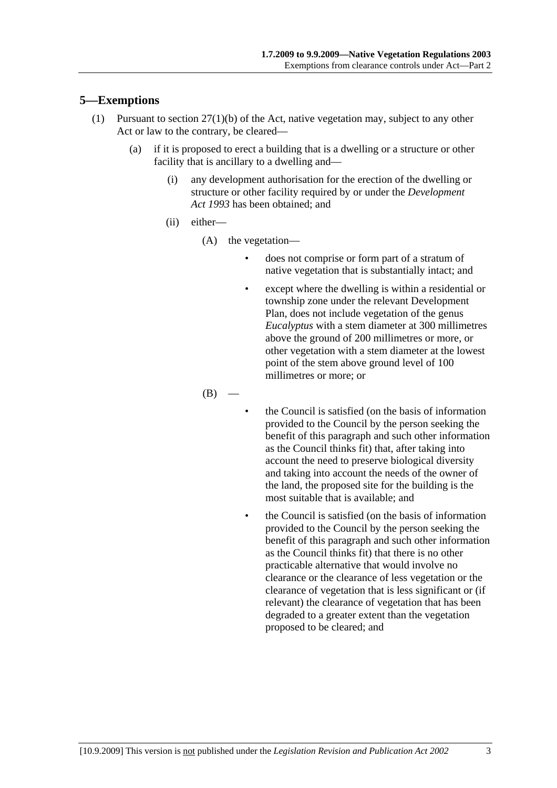### **5—Exemptions**

- (1) Pursuant to section 27(1)(b) of the Act, native vegetation may, subject to any other Act or law to the contrary, be cleared—
	- (a) if it is proposed to erect a building that is a dwelling or a structure or other facility that is ancillary to a dwelling and—
		- (i) any development authorisation for the erection of the dwelling or structure or other facility required by or under the *Development Act 1993* has been obtained; and
		- (ii) either—
			- (A) the vegetation—
				- does not comprise or form part of a stratum of native vegetation that is substantially intact; and
				- except where the dwelling is within a residential or township zone under the relevant Development Plan, does not include vegetation of the genus *Eucalyptus* with a stem diameter at 300 millimetres above the ground of 200 millimetres or more, or other vegetation with a stem diameter at the lowest point of the stem above ground level of 100 millimetres or more; or

 $(B)$ 

- the Council is satisfied (on the basis of information provided to the Council by the person seeking the benefit of this paragraph and such other information as the Council thinks fit) that, after taking into account the need to preserve biological diversity and taking into account the needs of the owner of the land, the proposed site for the building is the most suitable that is available; and
- the Council is satisfied (on the basis of information provided to the Council by the person seeking the benefit of this paragraph and such other information as the Council thinks fit) that there is no other practicable alternative that would involve no clearance or the clearance of less vegetation or the clearance of vegetation that is less significant or (if relevant) the clearance of vegetation that has been degraded to a greater extent than the vegetation proposed to be cleared; and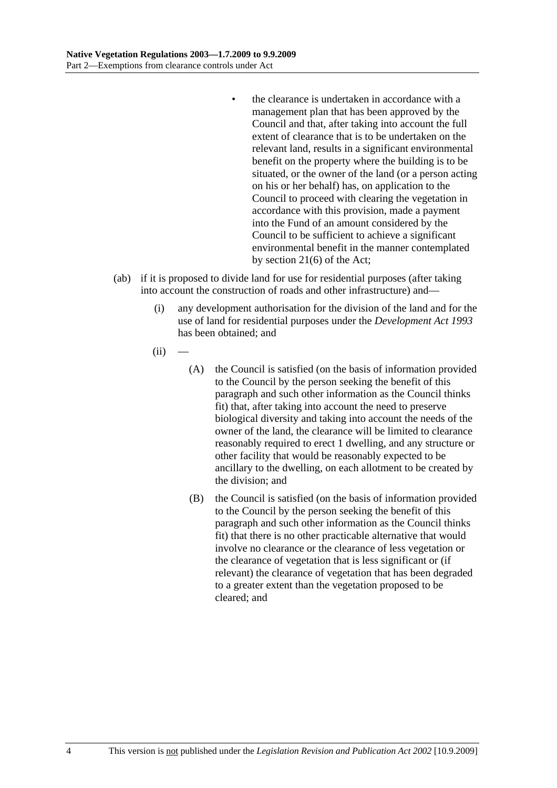- the clearance is undertaken in accordance with a management plan that has been approved by the Council and that, after taking into account the full extent of clearance that is to be undertaken on the relevant land, results in a significant environmental benefit on the property where the building is to be situated, or the owner of the land (or a person acting on his or her behalf) has, on application to the Council to proceed with clearing the vegetation in accordance with this provision, made a payment into the Fund of an amount considered by the Council to be sufficient to achieve a significant environmental benefit in the manner contemplated by section 21(6) of the Act;
- (ab) if it is proposed to divide land for use for residential purposes (after taking into account the construction of roads and other infrastructure) and—
	- (i) any development authorisation for the division of the land and for the use of land for residential purposes under the *Development Act 1993* has been obtained; and
	- $(ii)$ 
		- (A) the Council is satisfied (on the basis of information provided to the Council by the person seeking the benefit of this paragraph and such other information as the Council thinks fit) that, after taking into account the need to preserve biological diversity and taking into account the needs of the owner of the land, the clearance will be limited to clearance reasonably required to erect 1 dwelling, and any structure or other facility that would be reasonably expected to be ancillary to the dwelling, on each allotment to be created by the division; and
		- (B) the Council is satisfied (on the basis of information provided to the Council by the person seeking the benefit of this paragraph and such other information as the Council thinks fit) that there is no other practicable alternative that would involve no clearance or the clearance of less vegetation or the clearance of vegetation that is less significant or (if relevant) the clearance of vegetation that has been degraded to a greater extent than the vegetation proposed to be cleared; and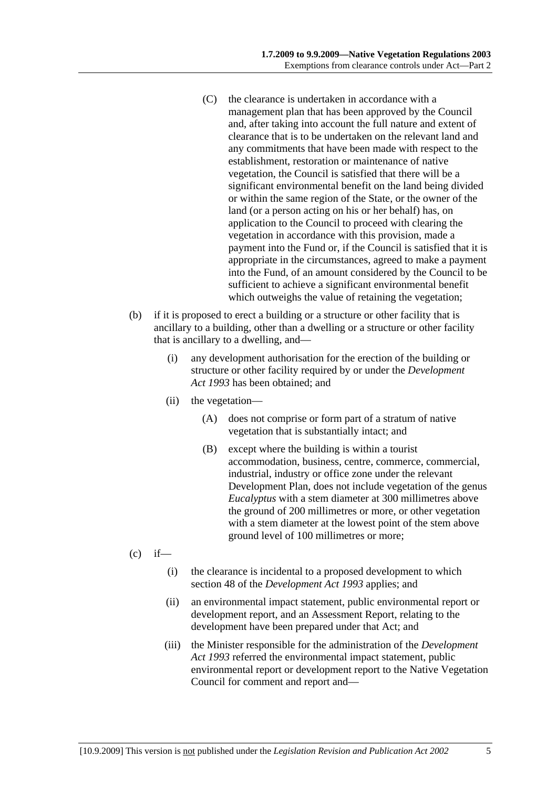- (C) the clearance is undertaken in accordance with a management plan that has been approved by the Council and, after taking into account the full nature and extent of clearance that is to be undertaken on the relevant land and any commitments that have been made with respect to the establishment, restoration or maintenance of native vegetation, the Council is satisfied that there will be a significant environmental benefit on the land being divided or within the same region of the State, or the owner of the land (or a person acting on his or her behalf) has, on application to the Council to proceed with clearing the vegetation in accordance with this provision, made a payment into the Fund or, if the Council is satisfied that it is appropriate in the circumstances, agreed to make a payment into the Fund, of an amount considered by the Council to be sufficient to achieve a significant environmental benefit which outweighs the value of retaining the vegetation;
- (b) if it is proposed to erect a building or a structure or other facility that is ancillary to a building, other than a dwelling or a structure or other facility that is ancillary to a dwelling, and—
	- (i) any development authorisation for the erection of the building or structure or other facility required by or under the *Development Act 1993* has been obtained; and
	- (ii) the vegetation—
		- (A) does not comprise or form part of a stratum of native vegetation that is substantially intact; and
		- (B) except where the building is within a tourist accommodation, business, centre, commerce, commercial, industrial, industry or office zone under the relevant Development Plan, does not include vegetation of the genus *Eucalyptus* with a stem diameter at 300 millimetres above the ground of 200 millimetres or more, or other vegetation with a stem diameter at the lowest point of the stem above ground level of 100 millimetres or more;
- $(c)$  if—
	- (i) the clearance is incidental to a proposed development to which section 48 of the *Development Act 1993* applies; and
	- (ii) an environmental impact statement, public environmental report or development report, and an Assessment Report, relating to the development have been prepared under that Act; and
	- (iii) the Minister responsible for the administration of the *Development Act 1993* referred the environmental impact statement, public environmental report or development report to the Native Vegetation Council for comment and report and—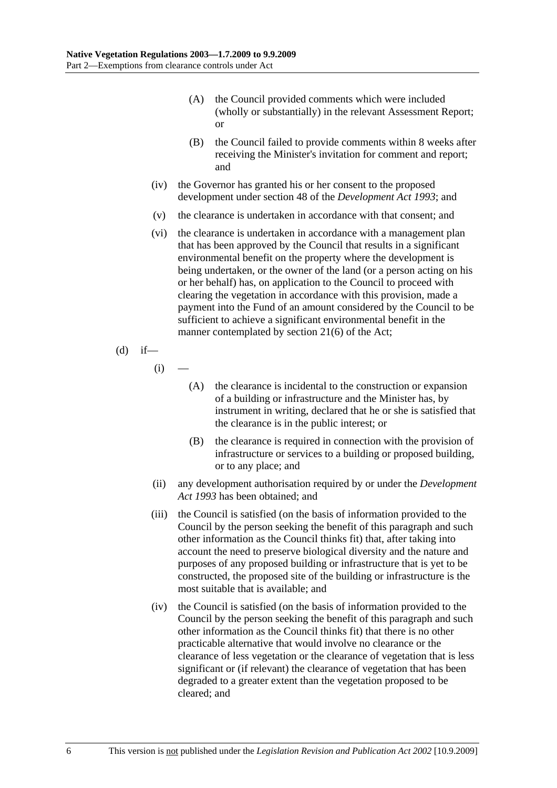- (A) the Council provided comments which were included (wholly or substantially) in the relevant Assessment Report; or
- (B) the Council failed to provide comments within 8 weeks after receiving the Minister's invitation for comment and report; and
- (iv) the Governor has granted his or her consent to the proposed development under section 48 of the *Development Act 1993*; and
- (v) the clearance is undertaken in accordance with that consent; and
- (vi) the clearance is undertaken in accordance with a management plan that has been approved by the Council that results in a significant environmental benefit on the property where the development is being undertaken, or the owner of the land (or a person acting on his or her behalf) has, on application to the Council to proceed with clearing the vegetation in accordance with this provision, made a payment into the Fund of an amount considered by the Council to be sufficient to achieve a significant environmental benefit in the manner contemplated by section 21(6) of the Act;

(d) if—

 $(i)$ 

- (A) the clearance is incidental to the construction or expansion of a building or infrastructure and the Minister has, by instrument in writing, declared that he or she is satisfied that the clearance is in the public interest; or
- (B) the clearance is required in connection with the provision of infrastructure or services to a building or proposed building, or to any place; and
- (ii) any development authorisation required by or under the *Development Act 1993* has been obtained; and
- (iii) the Council is satisfied (on the basis of information provided to the Council by the person seeking the benefit of this paragraph and such other information as the Council thinks fit) that, after taking into account the need to preserve biological diversity and the nature and purposes of any proposed building or infrastructure that is yet to be constructed, the proposed site of the building or infrastructure is the most suitable that is available; and
- (iv) the Council is satisfied (on the basis of information provided to the Council by the person seeking the benefit of this paragraph and such other information as the Council thinks fit) that there is no other practicable alternative that would involve no clearance or the clearance of less vegetation or the clearance of vegetation that is less significant or (if relevant) the clearance of vegetation that has been degraded to a greater extent than the vegetation proposed to be cleared; and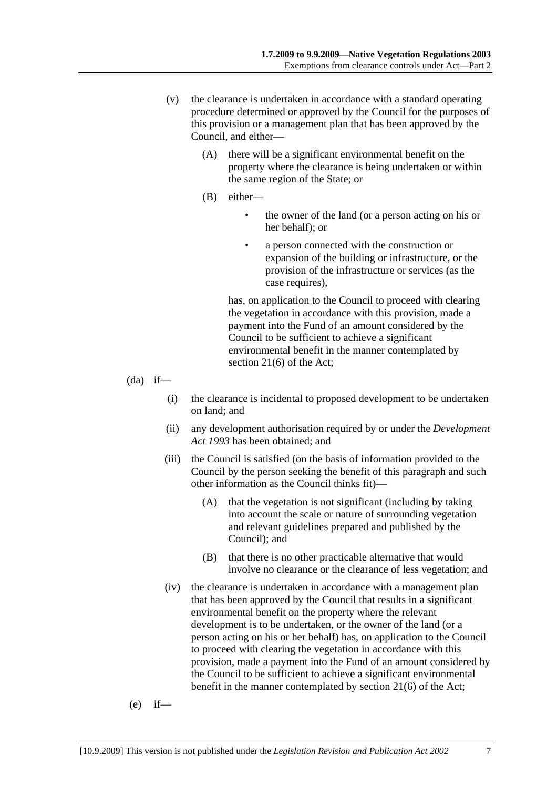- (v) the clearance is undertaken in accordance with a standard operating procedure determined or approved by the Council for the purposes of this provision or a management plan that has been approved by the Council, and either—
	- (A) there will be a significant environmental benefit on the property where the clearance is being undertaken or within the same region of the State; or
	- (B) either—
		- the owner of the land (or a person acting on his or her behalf); or
		- a person connected with the construction or expansion of the building or infrastructure, or the provision of the infrastructure or services (as the case requires),

has, on application to the Council to proceed with clearing the vegetation in accordance with this provision, made a payment into the Fund of an amount considered by the Council to be sufficient to achieve a significant environmental benefit in the manner contemplated by section 21(6) of the Act;

 $(da)$  if—

- (i) the clearance is incidental to proposed development to be undertaken on land; and
- (ii) any development authorisation required by or under the *Development Act 1993* has been obtained; and
- (iii) the Council is satisfied (on the basis of information provided to the Council by the person seeking the benefit of this paragraph and such other information as the Council thinks fit)—
	- (A) that the vegetation is not significant (including by taking into account the scale or nature of surrounding vegetation and relevant guidelines prepared and published by the Council); and
	- (B) that there is no other practicable alternative that would involve no clearance or the clearance of less vegetation; and
- (iv) the clearance is undertaken in accordance with a management plan that has been approved by the Council that results in a significant environmental benefit on the property where the relevant development is to be undertaken, or the owner of the land (or a person acting on his or her behalf) has, on application to the Council to proceed with clearing the vegetation in accordance with this provision, made a payment into the Fund of an amount considered by the Council to be sufficient to achieve a significant environmental benefit in the manner contemplated by section 21(6) of the Act;

$$
(e) if
$$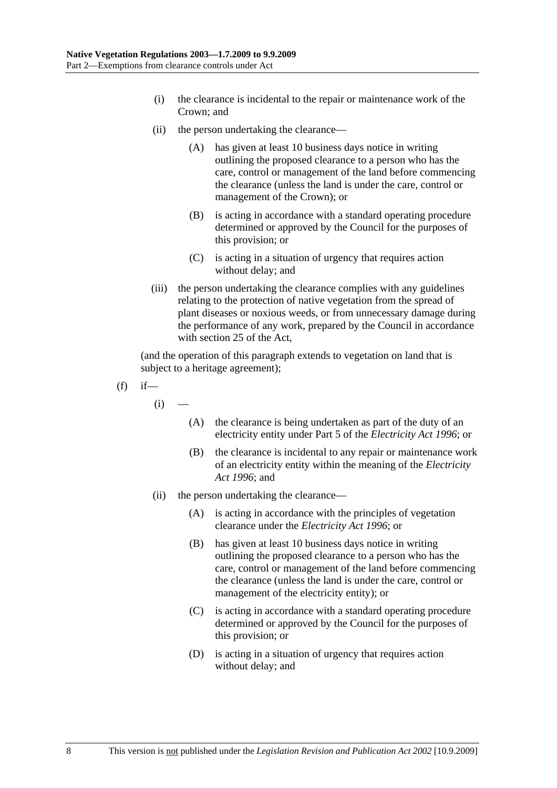- (i) the clearance is incidental to the repair or maintenance work of the Crown; and
- (ii) the person undertaking the clearance—
	- (A) has given at least 10 business days notice in writing outlining the proposed clearance to a person who has the care, control or management of the land before commencing the clearance (unless the land is under the care, control or management of the Crown); or
	- (B) is acting in accordance with a standard operating procedure determined or approved by the Council for the purposes of this provision; or
	- (C) is acting in a situation of urgency that requires action without delay; and
- (iii) the person undertaking the clearance complies with any guidelines relating to the protection of native vegetation from the spread of plant diseases or noxious weeds, or from unnecessary damage during the performance of any work, prepared by the Council in accordance with section 25 of the Act,

- $(f)$  if
	- $(i)$
- (A) the clearance is being undertaken as part of the duty of an electricity entity under Part 5 of the *Electricity Act 1996*; or
- (B) the clearance is incidental to any repair or maintenance work of an electricity entity within the meaning of the *Electricity Act 1996*; and
- (ii) the person undertaking the clearance—
	- (A) is acting in accordance with the principles of vegetation clearance under the *Electricity Act 1996*; or
	- (B) has given at least 10 business days notice in writing outlining the proposed clearance to a person who has the care, control or management of the land before commencing the clearance (unless the land is under the care, control or management of the electricity entity); or
	- (C) is acting in accordance with a standard operating procedure determined or approved by the Council for the purposes of this provision; or
	- (D) is acting in a situation of urgency that requires action without delay; and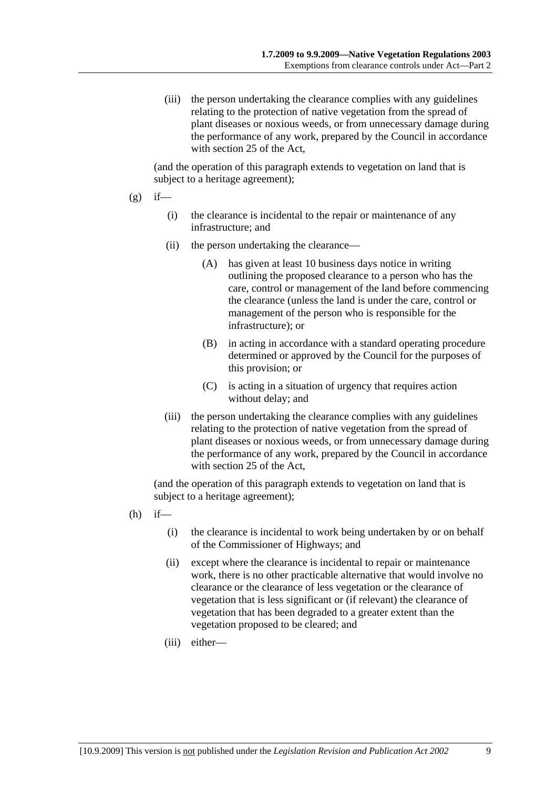(iii) the person undertaking the clearance complies with any guidelines relating to the protection of native vegetation from the spread of plant diseases or noxious weeds, or from unnecessary damage during the performance of any work, prepared by the Council in accordance with section 25 of the Act,

(and the operation of this paragraph extends to vegetation on land that is subject to a heritage agreement);

- $(g)$  if—
	- (i) the clearance is incidental to the repair or maintenance of any infrastructure; and
	- (ii) the person undertaking the clearance—
		- (A) has given at least 10 business days notice in writing outlining the proposed clearance to a person who has the care, control or management of the land before commencing the clearance (unless the land is under the care, control or management of the person who is responsible for the infrastructure); or
		- (B) in acting in accordance with a standard operating procedure determined or approved by the Council for the purposes of this provision; or
		- (C) is acting in a situation of urgency that requires action without delay; and
	- (iii) the person undertaking the clearance complies with any guidelines relating to the protection of native vegetation from the spread of plant diseases or noxious weeds, or from unnecessary damage during the performance of any work, prepared by the Council in accordance with section 25 of the Act,

- $(h)$  if—
	- (i) the clearance is incidental to work being undertaken by or on behalf of the Commissioner of Highways; and
	- (ii) except where the clearance is incidental to repair or maintenance work, there is no other practicable alternative that would involve no clearance or the clearance of less vegetation or the clearance of vegetation that is less significant or (if relevant) the clearance of vegetation that has been degraded to a greater extent than the vegetation proposed to be cleared; and
	- (iii) either—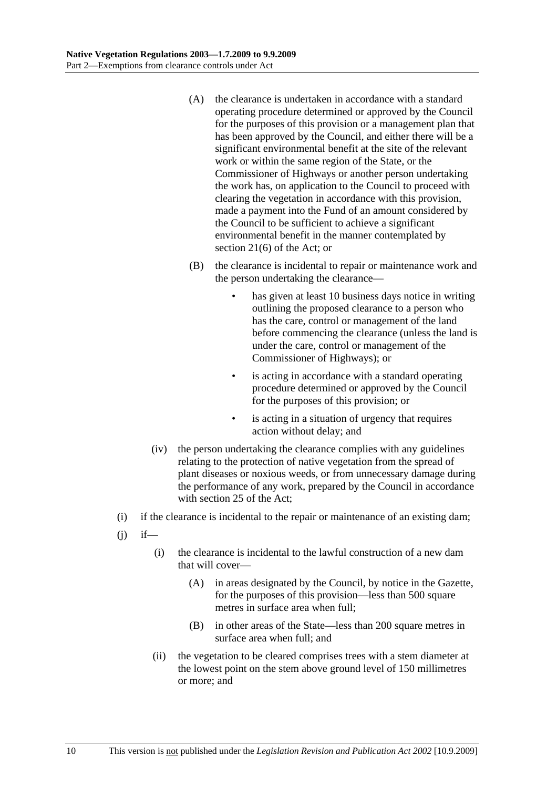- (A) the clearance is undertaken in accordance with a standard operating procedure determined or approved by the Council for the purposes of this provision or a management plan that has been approved by the Council, and either there will be a significant environmental benefit at the site of the relevant work or within the same region of the State, or the Commissioner of Highways or another person undertaking the work has, on application to the Council to proceed with clearing the vegetation in accordance with this provision, made a payment into the Fund of an amount considered by the Council to be sufficient to achieve a significant environmental benefit in the manner contemplated by section 21(6) of the Act; or
- (B) the clearance is incidental to repair or maintenance work and the person undertaking the clearance
	- has given at least 10 business days notice in writing outlining the proposed clearance to a person who has the care, control or management of the land before commencing the clearance (unless the land is under the care, control or management of the Commissioner of Highways); or
	- is acting in accordance with a standard operating procedure determined or approved by the Council for the purposes of this provision; or
	- is acting in a situation of urgency that requires action without delay; and
- (iv) the person undertaking the clearance complies with any guidelines relating to the protection of native vegetation from the spread of plant diseases or noxious weeds, or from unnecessary damage during the performance of any work, prepared by the Council in accordance with section 25 of the Act;
- (i) if the clearance is incidental to the repair or maintenance of an existing dam;
- $(i)$  if—
	- (i) the clearance is incidental to the lawful construction of a new dam that will cover—
		- (A) in areas designated by the Council, by notice in the Gazette, for the purposes of this provision—less than 500 square metres in surface area when full;
		- (B) in other areas of the State—less than 200 square metres in surface area when full; and
	- (ii) the vegetation to be cleared comprises trees with a stem diameter at the lowest point on the stem above ground level of 150 millimetres or more; and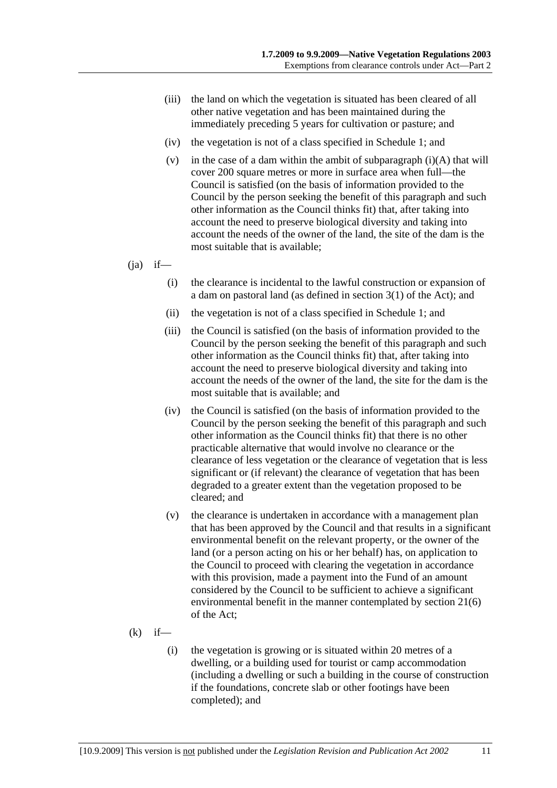- (iii) the land on which the vegetation is situated has been cleared of all other native vegetation and has been maintained during the immediately preceding 5 years for cultivation or pasture; and
- (iv) the vegetation is not of a class specified in Schedule 1; and
- (v) in the case of a dam within the ambit of subparagraph  $(i)(A)$  that will cover 200 square metres or more in surface area when full—the Council is satisfied (on the basis of information provided to the Council by the person seeking the benefit of this paragraph and such other information as the Council thinks fit) that, after taking into account the need to preserve biological diversity and taking into account the needs of the owner of the land, the site of the dam is the most suitable that is available;

 $(i)$  if—

- (i) the clearance is incidental to the lawful construction or expansion of a dam on pastoral land (as defined in section 3(1) of the Act); and
- (ii) the vegetation is not of a class specified in Schedule 1; and
- (iii) the Council is satisfied (on the basis of information provided to the Council by the person seeking the benefit of this paragraph and such other information as the Council thinks fit) that, after taking into account the need to preserve biological diversity and taking into account the needs of the owner of the land, the site for the dam is the most suitable that is available; and
- (iv) the Council is satisfied (on the basis of information provided to the Council by the person seeking the benefit of this paragraph and such other information as the Council thinks fit) that there is no other practicable alternative that would involve no clearance or the clearance of less vegetation or the clearance of vegetation that is less significant or (if relevant) the clearance of vegetation that has been degraded to a greater extent than the vegetation proposed to be cleared; and
- (v) the clearance is undertaken in accordance with a management plan that has been approved by the Council and that results in a significant environmental benefit on the relevant property, or the owner of the land (or a person acting on his or her behalf) has, on application to the Council to proceed with clearing the vegetation in accordance with this provision, made a payment into the Fund of an amount considered by the Council to be sufficient to achieve a significant environmental benefit in the manner contemplated by section 21(6) of the Act;
- $(k)$  if—
	- (i) the vegetation is growing or is situated within 20 metres of a dwelling, or a building used for tourist or camp accommodation (including a dwelling or such a building in the course of construction if the foundations, concrete slab or other footings have been completed); and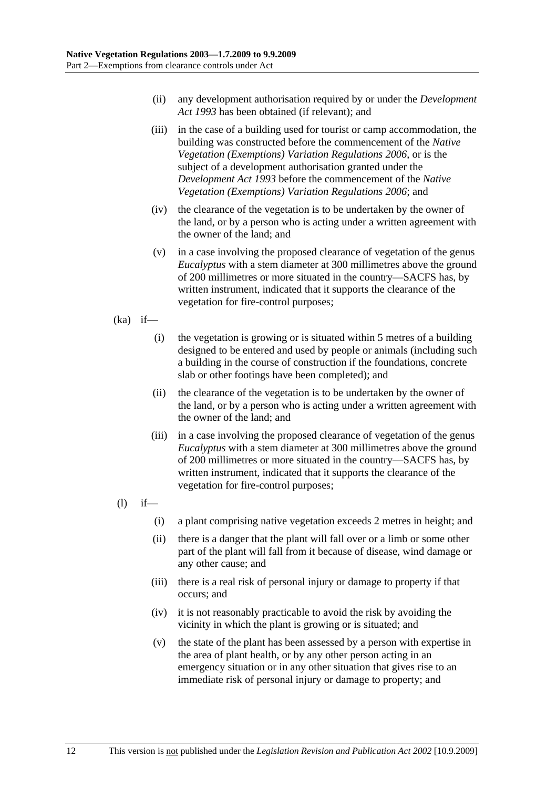- (ii) any development authorisation required by or under the *Development Act 1993* has been obtained (if relevant); and
- (iii) in the case of a building used for tourist or camp accommodation, the building was constructed before the commencement of the *Native Vegetation (Exemptions) Variation Regulations 2006*, or is the subject of a development authorisation granted under the *Development Act 1993* before the commencement of the *Native Vegetation (Exemptions) Variation Regulations 2006*; and
- (iv) the clearance of the vegetation is to be undertaken by the owner of the land, or by a person who is acting under a written agreement with the owner of the land; and
- (v) in a case involving the proposed clearance of vegetation of the genus *Eucalyptus* with a stem diameter at 300 millimetres above the ground of 200 millimetres or more situated in the country—SACFS has, by written instrument, indicated that it supports the clearance of the vegetation for fire-control purposes;
- $(ka)$  if—
	- (i) the vegetation is growing or is situated within 5 metres of a building designed to be entered and used by people or animals (including such a building in the course of construction if the foundations, concrete slab or other footings have been completed); and
	- (ii) the clearance of the vegetation is to be undertaken by the owner of the land, or by a person who is acting under a written agreement with the owner of the land; and
	- (iii) in a case involving the proposed clearance of vegetation of the genus *Eucalyptus* with a stem diameter at 300 millimetres above the ground of 200 millimetres or more situated in the country—SACFS has, by written instrument, indicated that it supports the clearance of the vegetation for fire-control purposes;
- $(l)$  if—
	- (i) a plant comprising native vegetation exceeds 2 metres in height; and
	- (ii) there is a danger that the plant will fall over or a limb or some other part of the plant will fall from it because of disease, wind damage or any other cause; and
	- (iii) there is a real risk of personal injury or damage to property if that occurs; and
	- (iv) it is not reasonably practicable to avoid the risk by avoiding the vicinity in which the plant is growing or is situated; and
	- (v) the state of the plant has been assessed by a person with expertise in the area of plant health, or by any other person acting in an emergency situation or in any other situation that gives rise to an immediate risk of personal injury or damage to property; and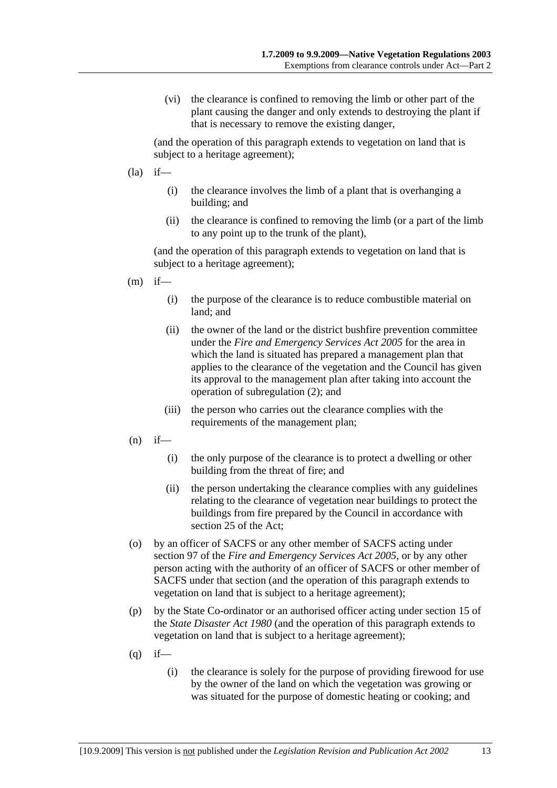(vi) the clearance is confined to removing the limb or other part of the plant causing the danger and only extends to destroying the plant if that is necessary to remove the existing danger,

(and the operation of this paragraph extends to vegetation on land that is subject to a heritage agreement);

- $(la)$  if—
	- (i) the clearance involves the limb of a plant that is overhanging a building; and
	- (ii) the clearance is confined to removing the limb (or a part of the limb to any point up to the trunk of the plant),

- $(m)$  if—
	- (i) the purpose of the clearance is to reduce combustible material on land; and
	- (ii) the owner of the land or the district bushfire prevention committee under the *Fire and Emergency Services Act 2005* for the area in which the land is situated has prepared a management plan that applies to the clearance of the vegetation and the Council has given its approval to the management plan after taking into account the operation of subregulation (2); and
	- (iii) the person who carries out the clearance complies with the requirements of the management plan;
- $(n)$  if—
	- (i) the only purpose of the clearance is to protect a dwelling or other building from the threat of fire; and
	- (ii) the person undertaking the clearance complies with any guidelines relating to the clearance of vegetation near buildings to protect the buildings from fire prepared by the Council in accordance with section 25 of the Act;
- (o) by an officer of SACFS or any other member of SACFS acting under section 97 of the *Fire and Emergency Services Act 2005*, or by any other person acting with the authority of an officer of SACFS or other member of SACFS under that section (and the operation of this paragraph extends to vegetation on land that is subject to a heritage agreement);
- (p) by the State Co-ordinator or an authorised officer acting under section 15 of the *State Disaster Act 1980* (and the operation of this paragraph extends to vegetation on land that is subject to a heritage agreement);
- $(q)$  if—
	- (i) the clearance is solely for the purpose of providing firewood for use by the owner of the land on which the vegetation was growing or was situated for the purpose of domestic heating or cooking; and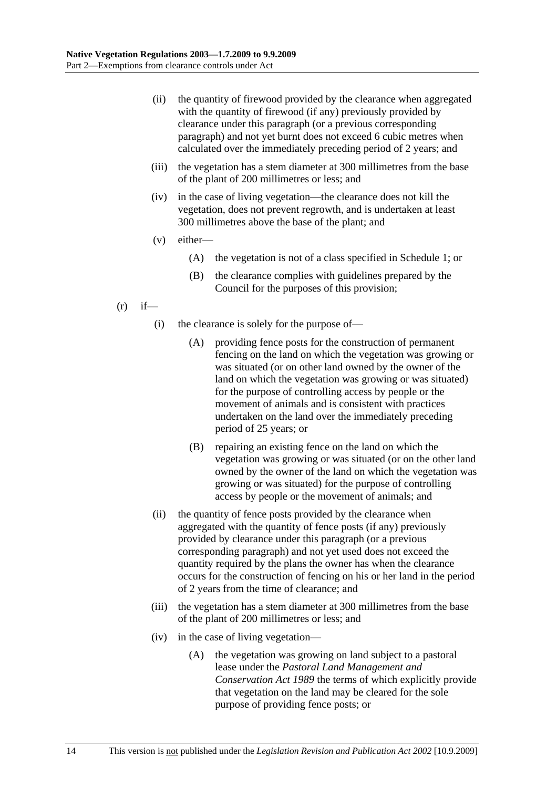- (ii) the quantity of firewood provided by the clearance when aggregated with the quantity of firewood (if any) previously provided by clearance under this paragraph (or a previous corresponding paragraph) and not yet burnt does not exceed 6 cubic metres when calculated over the immediately preceding period of 2 years; and
- (iii) the vegetation has a stem diameter at 300 millimetres from the base of the plant of 200 millimetres or less; and
- (iv) in the case of living vegetation—the clearance does not kill the vegetation, does not prevent regrowth, and is undertaken at least 300 millimetres above the base of the plant; and
- (v) either—
	- (A) the vegetation is not of a class specified in Schedule 1; or
	- (B) the clearance complies with guidelines prepared by the Council for the purposes of this provision;
- $(r)$  if—
	- (i) the clearance is solely for the purpose of—
		- (A) providing fence posts for the construction of permanent fencing on the land on which the vegetation was growing or was situated (or on other land owned by the owner of the land on which the vegetation was growing or was situated) for the purpose of controlling access by people or the movement of animals and is consistent with practices undertaken on the land over the immediately preceding period of 25 years; or
		- (B) repairing an existing fence on the land on which the vegetation was growing or was situated (or on the other land owned by the owner of the land on which the vegetation was growing or was situated) for the purpose of controlling access by people or the movement of animals; and
	- (ii) the quantity of fence posts provided by the clearance when aggregated with the quantity of fence posts (if any) previously provided by clearance under this paragraph (or a previous corresponding paragraph) and not yet used does not exceed the quantity required by the plans the owner has when the clearance occurs for the construction of fencing on his or her land in the period of 2 years from the time of clearance; and
	- (iii) the vegetation has a stem diameter at 300 millimetres from the base of the plant of 200 millimetres or less; and
	- (iv) in the case of living vegetation—
		- (A) the vegetation was growing on land subject to a pastoral lease under the *Pastoral Land Management and Conservation Act 1989* the terms of which explicitly provide that vegetation on the land may be cleared for the sole purpose of providing fence posts; or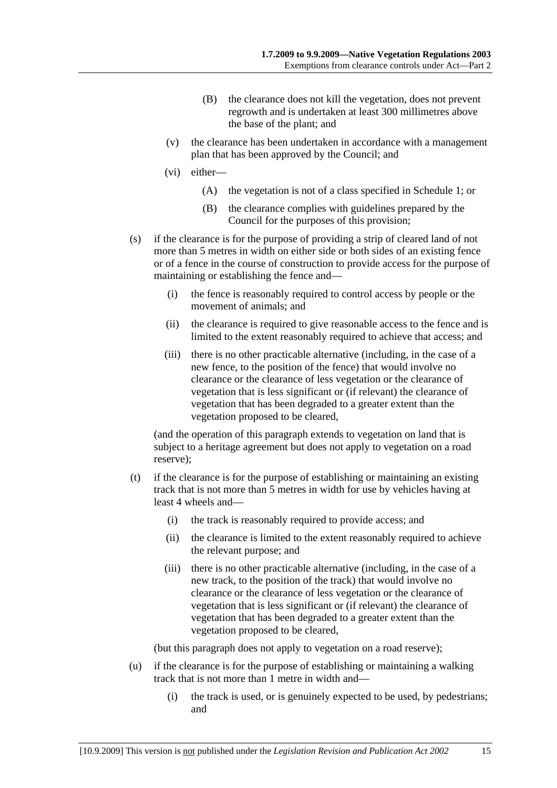- (B) the clearance does not kill the vegetation, does not prevent regrowth and is undertaken at least 300 millimetres above the base of the plant; and
- (v) the clearance has been undertaken in accordance with a management plan that has been approved by the Council; and
- (vi) either—
	- (A) the vegetation is not of a class specified in Schedule 1; or
	- (B) the clearance complies with guidelines prepared by the Council for the purposes of this provision;
- (s) if the clearance is for the purpose of providing a strip of cleared land of not more than 5 metres in width on either side or both sides of an existing fence or of a fence in the course of construction to provide access for the purpose of maintaining or establishing the fence and—
	- (i) the fence is reasonably required to control access by people or the movement of animals; and
	- (ii) the clearance is required to give reasonable access to the fence and is limited to the extent reasonably required to achieve that access; and
	- (iii) there is no other practicable alternative (including, in the case of a new fence, to the position of the fence) that would involve no clearance or the clearance of less vegetation or the clearance of vegetation that is less significant or (if relevant) the clearance of vegetation that has been degraded to a greater extent than the vegetation proposed to be cleared,

(and the operation of this paragraph extends to vegetation on land that is subject to a heritage agreement but does not apply to vegetation on a road reserve);

- (t) if the clearance is for the purpose of establishing or maintaining an existing track that is not more than 5 metres in width for use by vehicles having at least 4 wheels and—
	- (i) the track is reasonably required to provide access; and
	- (ii) the clearance is limited to the extent reasonably required to achieve the relevant purpose; and
	- (iii) there is no other practicable alternative (including, in the case of a new track, to the position of the track) that would involve no clearance or the clearance of less vegetation or the clearance of vegetation that is less significant or (if relevant) the clearance of vegetation that has been degraded to a greater extent than the vegetation proposed to be cleared,

(but this paragraph does not apply to vegetation on a road reserve);

- (u) if the clearance is for the purpose of establishing or maintaining a walking track that is not more than 1 metre in width and—
	- (i) the track is used, or is genuinely expected to be used, by pedestrians; and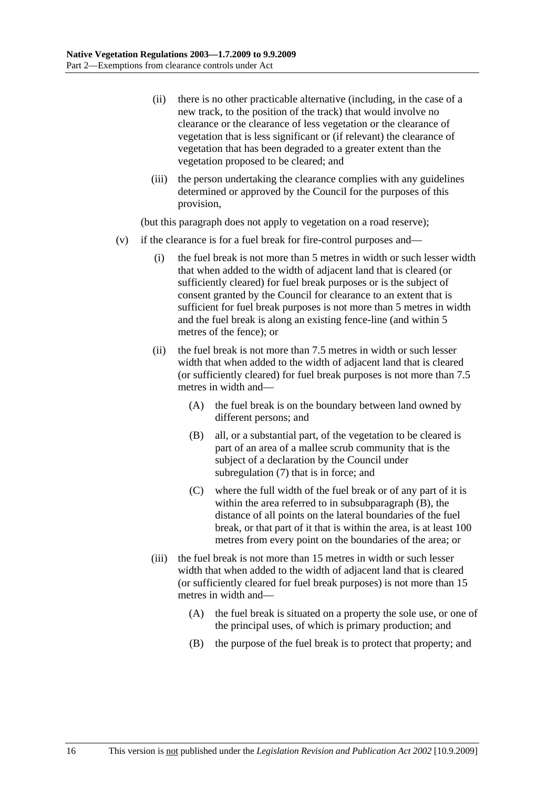- (ii) there is no other practicable alternative (including, in the case of a new track, to the position of the track) that would involve no clearance or the clearance of less vegetation or the clearance of vegetation that is less significant or (if relevant) the clearance of vegetation that has been degraded to a greater extent than the vegetation proposed to be cleared; and
- (iii) the person undertaking the clearance complies with any guidelines determined or approved by the Council for the purposes of this provision,

(but this paragraph does not apply to vegetation on a road reserve);

- (v) if the clearance is for a fuel break for fire-control purposes and—
	- (i) the fuel break is not more than 5 metres in width or such lesser width that when added to the width of adjacent land that is cleared (or sufficiently cleared) for fuel break purposes or is the subject of consent granted by the Council for clearance to an extent that is sufficient for fuel break purposes is not more than 5 metres in width and the fuel break is along an existing fence-line (and within 5 metres of the fence); or
	- (ii) the fuel break is not more than 7.5 metres in width or such lesser width that when added to the width of adjacent land that is cleared (or sufficiently cleared) for fuel break purposes is not more than 7.5 metres in width and—
		- (A) the fuel break is on the boundary between land owned by different persons; and
		- (B) all, or a substantial part, of the vegetation to be cleared is part of an area of a mallee scrub community that is the subject of a declaration by the Council under subregulation (7) that is in force; and
		- (C) where the full width of the fuel break or of any part of it is within the area referred to in subsubparagraph (B), the distance of all points on the lateral boundaries of the fuel break, or that part of it that is within the area, is at least 100 metres from every point on the boundaries of the area; or
	- (iii) the fuel break is not more than 15 metres in width or such lesser width that when added to the width of adjacent land that is cleared (or sufficiently cleared for fuel break purposes) is not more than 15 metres in width and—
		- (A) the fuel break is situated on a property the sole use, or one of the principal uses, of which is primary production; and
		- (B) the purpose of the fuel break is to protect that property; and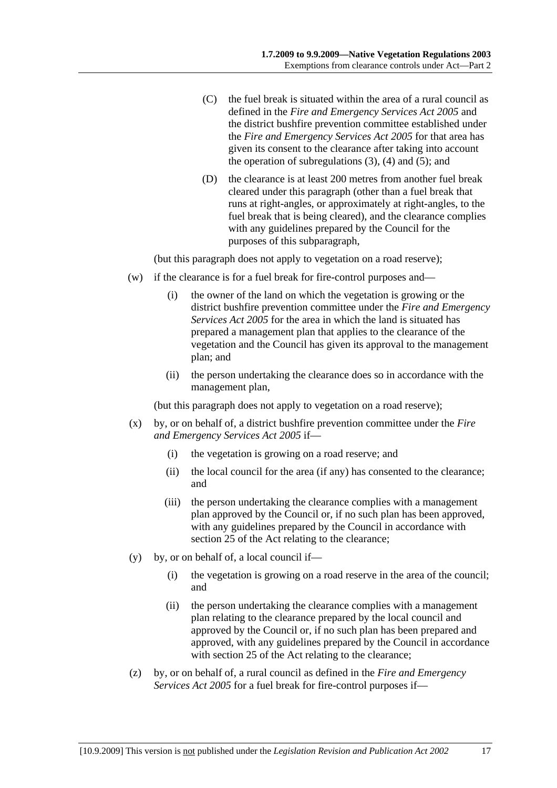- (C) the fuel break is situated within the area of a rural council as defined in the *Fire and Emergency Services Act 2005* and the district bushfire prevention committee established under the *Fire and Emergency Services Act 2005* for that area has given its consent to the clearance after taking into account the operation of subregulations  $(3)$ ,  $(4)$  and  $(5)$ ; and
- (D) the clearance is at least 200 metres from another fuel break cleared under this paragraph (other than a fuel break that runs at right-angles, or approximately at right-angles, to the fuel break that is being cleared), and the clearance complies with any guidelines prepared by the Council for the purposes of this subparagraph,

(but this paragraph does not apply to vegetation on a road reserve);

- (w) if the clearance is for a fuel break for fire-control purposes and—
	- (i) the owner of the land on which the vegetation is growing or the district bushfire prevention committee under the *Fire and Emergency Services Act 2005* for the area in which the land is situated has prepared a management plan that applies to the clearance of the vegetation and the Council has given its approval to the management plan; and
	- (ii) the person undertaking the clearance does so in accordance with the management plan,

(but this paragraph does not apply to vegetation on a road reserve);

- (x) by, or on behalf of, a district bushfire prevention committee under the *Fire and Emergency Services Act 2005* if—
	- (i) the vegetation is growing on a road reserve; and
	- (ii) the local council for the area (if any) has consented to the clearance; and
	- (iii) the person undertaking the clearance complies with a management plan approved by the Council or, if no such plan has been approved, with any guidelines prepared by the Council in accordance with section 25 of the Act relating to the clearance;
- (y) by, or on behalf of, a local council if—
	- (i) the vegetation is growing on a road reserve in the area of the council; and
	- (ii) the person undertaking the clearance complies with a management plan relating to the clearance prepared by the local council and approved by the Council or, if no such plan has been prepared and approved, with any guidelines prepared by the Council in accordance with section 25 of the Act relating to the clearance;
- (z) by, or on behalf of, a rural council as defined in the *Fire and Emergency Services Act 2005* for a fuel break for fire-control purposes if—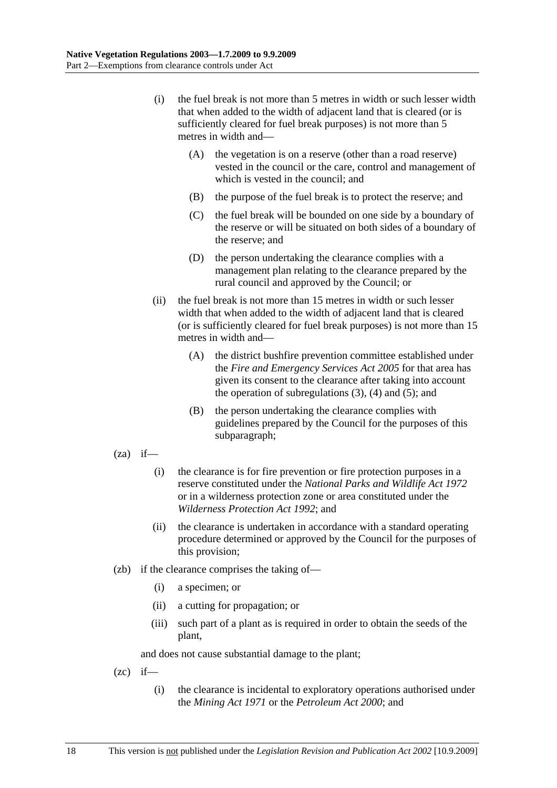- (i) the fuel break is not more than 5 metres in width or such lesser width that when added to the width of adjacent land that is cleared (or is sufficiently cleared for fuel break purposes) is not more than 5 metres in width and—
	- (A) the vegetation is on a reserve (other than a road reserve) vested in the council or the care, control and management of which is vested in the council; and
	- (B) the purpose of the fuel break is to protect the reserve; and
	- (C) the fuel break will be bounded on one side by a boundary of the reserve or will be situated on both sides of a boundary of the reserve; and
	- (D) the person undertaking the clearance complies with a management plan relating to the clearance prepared by the rural council and approved by the Council; or
- (ii) the fuel break is not more than 15 metres in width or such lesser width that when added to the width of adjacent land that is cleared (or is sufficiently cleared for fuel break purposes) is not more than 15 metres in width and—
	- (A) the district bushfire prevention committee established under the *Fire and Emergency Services Act 2005* for that area has given its consent to the clearance after taking into account the operation of subregulations  $(3)$ ,  $(4)$  and  $(5)$ ; and
	- (B) the person undertaking the clearance complies with guidelines prepared by the Council for the purposes of this subparagraph;
- $(za)$  if—
	- (i) the clearance is for fire prevention or fire protection purposes in a reserve constituted under the *National Parks and Wildlife Act 1972* or in a wilderness protection zone or area constituted under the *Wilderness Protection Act 1992*; and
	- (ii) the clearance is undertaken in accordance with a standard operating procedure determined or approved by the Council for the purposes of this provision;
- (zb) if the clearance comprises the taking of—
	- (i) a specimen; or
	- (ii) a cutting for propagation; or
	- (iii) such part of a plant as is required in order to obtain the seeds of the plant,

and does not cause substantial damage to the plant;

 $(zc)$  if—

 (i) the clearance is incidental to exploratory operations authorised under the *Mining Act 1971* or the *Petroleum Act 2000*; and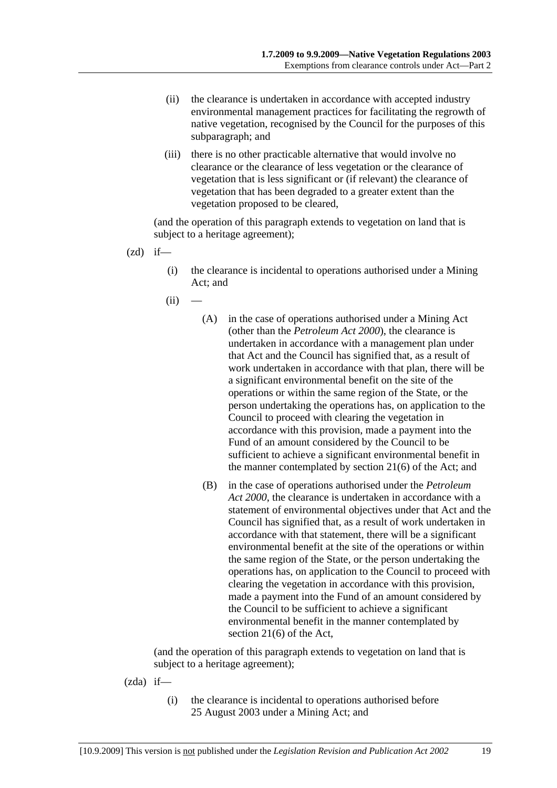- (ii) the clearance is undertaken in accordance with accepted industry environmental management practices for facilitating the regrowth of native vegetation, recognised by the Council for the purposes of this subparagraph; and
- (iii) there is no other practicable alternative that would involve no clearance or the clearance of less vegetation or the clearance of vegetation that is less significant or (if relevant) the clearance of vegetation that has been degraded to a greater extent than the vegetation proposed to be cleared,

(and the operation of this paragraph extends to vegetation on land that is subject to a heritage agreement);

- $(zd)$  if—
	- (i) the clearance is incidental to operations authorised under a Mining Act; and
	- $(ii)$ 
		- (A) in the case of operations authorised under a Mining Act (other than the *Petroleum Act 2000*), the clearance is undertaken in accordance with a management plan under that Act and the Council has signified that, as a result of work undertaken in accordance with that plan, there will be a significant environmental benefit on the site of the operations or within the same region of the State, or the person undertaking the operations has, on application to the Council to proceed with clearing the vegetation in accordance with this provision, made a payment into the Fund of an amount considered by the Council to be sufficient to achieve a significant environmental benefit in the manner contemplated by section 21(6) of the Act; and
		- (B) in the case of operations authorised under the *Petroleum Act 2000*, the clearance is undertaken in accordance with a statement of environmental objectives under that Act and the Council has signified that, as a result of work undertaken in accordance with that statement, there will be a significant environmental benefit at the site of the operations or within the same region of the State, or the person undertaking the operations has, on application to the Council to proceed with clearing the vegetation in accordance with this provision, made a payment into the Fund of an amount considered by the Council to be sufficient to achieve a significant environmental benefit in the manner contemplated by section 21(6) of the Act,

- (zda) if—
	- (i) the clearance is incidental to operations authorised before 25 August 2003 under a Mining Act; and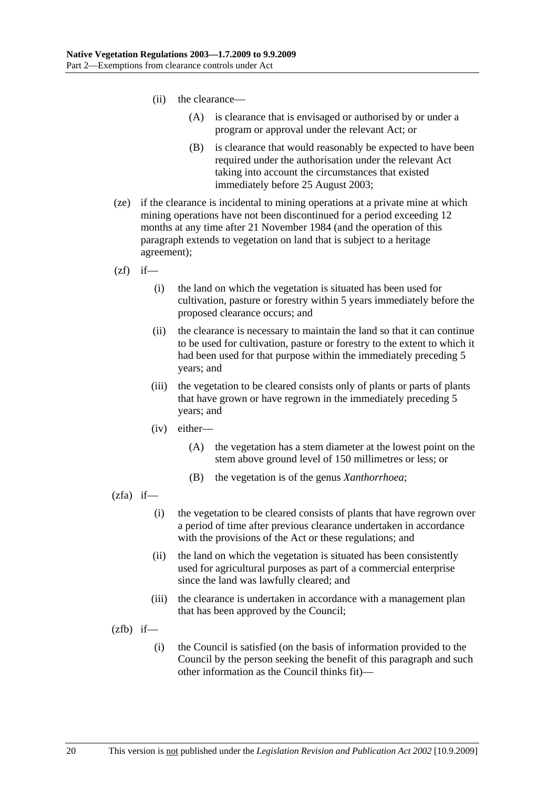- (ii) the clearance—
	- (A) is clearance that is envisaged or authorised by or under a program or approval under the relevant Act; or
	- (B) is clearance that would reasonably be expected to have been required under the authorisation under the relevant Act taking into account the circumstances that existed immediately before 25 August 2003;
- (ze) if the clearance is incidental to mining operations at a private mine at which mining operations have not been discontinued for a period exceeding 12 months at any time after 21 November 1984 (and the operation of this paragraph extends to vegetation on land that is subject to a heritage agreement);
- $(zf)$  if—
	- (i) the land on which the vegetation is situated has been used for cultivation, pasture or forestry within 5 years immediately before the proposed clearance occurs; and
	- (ii) the clearance is necessary to maintain the land so that it can continue to be used for cultivation, pasture or forestry to the extent to which it had been used for that purpose within the immediately preceding 5 years; and
	- (iii) the vegetation to be cleared consists only of plants or parts of plants that have grown or have regrown in the immediately preceding 5 years; and
	- (iv) either—
		- (A) the vegetation has a stem diameter at the lowest point on the stem above ground level of 150 millimetres or less; or
		- (B) the vegetation is of the genus *Xanthorrhoea*;
- $(zfa)$  if—
	- (i) the vegetation to be cleared consists of plants that have regrown over a period of time after previous clearance undertaken in accordance with the provisions of the Act or these regulations; and
	- (ii) the land on which the vegetation is situated has been consistently used for agricultural purposes as part of a commercial enterprise since the land was lawfully cleared; and
	- (iii) the clearance is undertaken in accordance with a management plan that has been approved by the Council;
- $(zfb)$  if—
	- (i) the Council is satisfied (on the basis of information provided to the Council by the person seeking the benefit of this paragraph and such other information as the Council thinks fit)—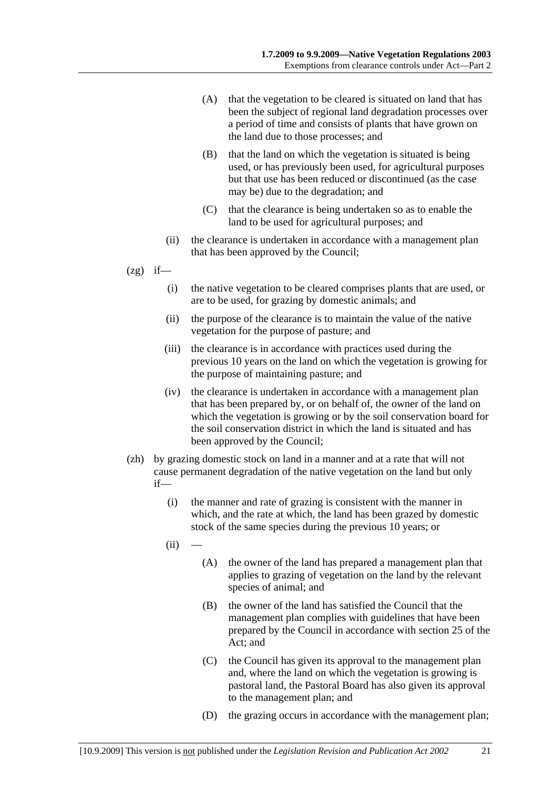- (A) that the vegetation to be cleared is situated on land that has been the subject of regional land degradation processes over a period of time and consists of plants that have grown on the land due to those processes; and
- (B) that the land on which the vegetation is situated is being used, or has previously been used, for agricultural purposes but that use has been reduced or discontinued (as the case may be) due to the degradation; and
- (C) that the clearance is being undertaken so as to enable the land to be used for agricultural purposes; and
- (ii) the clearance is undertaken in accordance with a management plan that has been approved by the Council;
- $(2g)$  if—
	- (i) the native vegetation to be cleared comprises plants that are used, or are to be used, for grazing by domestic animals; and
	- (ii) the purpose of the clearance is to maintain the value of the native vegetation for the purpose of pasture; and
	- (iii) the clearance is in accordance with practices used during the previous 10 years on the land on which the vegetation is growing for the purpose of maintaining pasture; and
	- (iv) the clearance is undertaken in accordance with a management plan that has been prepared by, or on behalf of, the owner of the land on which the vegetation is growing or by the soil conservation board for the soil conservation district in which the land is situated and has been approved by the Council;
- (zh) by grazing domestic stock on land in a manner and at a rate that will not cause permanent degradation of the native vegetation on the land but only if—
	- (i) the manner and rate of grazing is consistent with the manner in which, and the rate at which, the land has been grazed by domestic stock of the same species during the previous 10 years; or
	- $(ii)$
- (A) the owner of the land has prepared a management plan that applies to grazing of vegetation on the land by the relevant species of animal; and
- (B) the owner of the land has satisfied the Council that the management plan complies with guidelines that have been prepared by the Council in accordance with section 25 of the Act; and
- (C) the Council has given its approval to the management plan and, where the land on which the vegetation is growing is pastoral land, the Pastoral Board has also given its approval to the management plan; and
- (D) the grazing occurs in accordance with the management plan;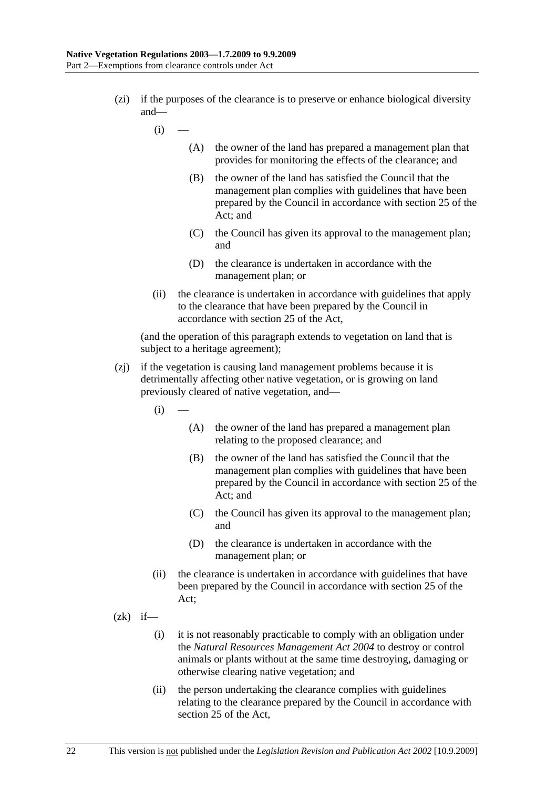- (zi) if the purposes of the clearance is to preserve or enhance biological diversity and—
	- $(i)$
- (A) the owner of the land has prepared a management plan that provides for monitoring the effects of the clearance; and
- (B) the owner of the land has satisfied the Council that the management plan complies with guidelines that have been prepared by the Council in accordance with section 25 of the Act; and
- (C) the Council has given its approval to the management plan; and
- (D) the clearance is undertaken in accordance with the management plan; or
- (ii) the clearance is undertaken in accordance with guidelines that apply to the clearance that have been prepared by the Council in accordance with section 25 of the Act,

- (zj) if the vegetation is causing land management problems because it is detrimentally affecting other native vegetation, or is growing on land previously cleared of native vegetation, and—
	- $(i)$ 
		- (A) the owner of the land has prepared a management plan relating to the proposed clearance; and
		- (B) the owner of the land has satisfied the Council that the management plan complies with guidelines that have been prepared by the Council in accordance with section 25 of the Act; and
		- (C) the Council has given its approval to the management plan; and
		- (D) the clearance is undertaken in accordance with the management plan; or
	- (ii) the clearance is undertaken in accordance with guidelines that have been prepared by the Council in accordance with section 25 of the Act;
- $(zk)$  if—
	- (i) it is not reasonably practicable to comply with an obligation under the *Natural Resources Management Act 2004* to destroy or control animals or plants without at the same time destroying, damaging or otherwise clearing native vegetation; and
	- (ii) the person undertaking the clearance complies with guidelines relating to the clearance prepared by the Council in accordance with section 25 of the Act,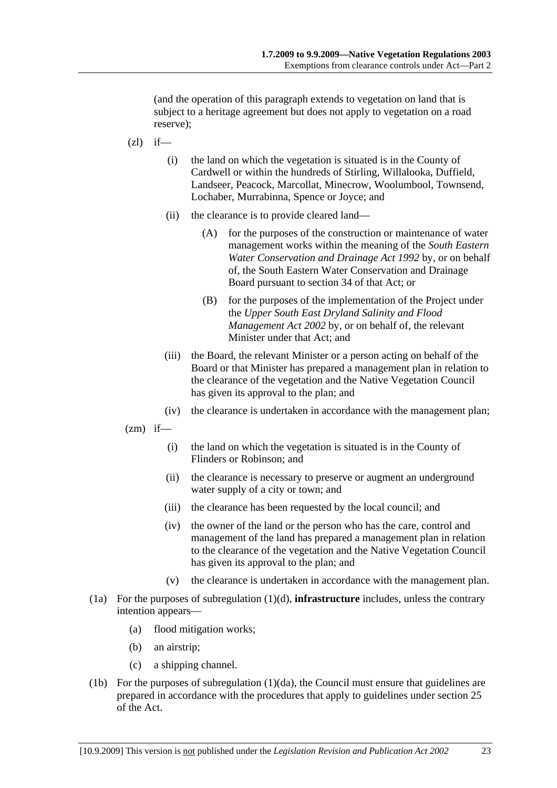(and the operation of this paragraph extends to vegetation on land that is subject to a heritage agreement but does not apply to vegetation on a road reserve);

- $(zl)$  if—
	- (i) the land on which the vegetation is situated is in the County of Cardwell or within the hundreds of Stirling, Willalooka, Duffield, Landseer, Peacock, Marcollat, Minecrow, Woolumbool, Townsend, Lochaber, Murrabinna, Spence or Joyce; and
	- (ii) the clearance is to provide cleared land—
		- (A) for the purposes of the construction or maintenance of water management works within the meaning of the *South Eastern Water Conservation and Drainage Act 1992* by, or on behalf of, the South Eastern Water Conservation and Drainage Board pursuant to section 34 of that Act; or
		- (B) for the purposes of the implementation of the Project under the *Upper South East Dryland Salinity and Flood Management Act 2002* by, or on behalf of, the relevant Minister under that Act; and
	- (iii) the Board, the relevant Minister or a person acting on behalf of the Board or that Minister has prepared a management plan in relation to the clearance of the vegetation and the Native Vegetation Council has given its approval to the plan; and
	- (iv) the clearance is undertaken in accordance with the management plan;
- $(zm)$  if—
	- (i) the land on which the vegetation is situated is in the County of Flinders or Robinson; and
	- (ii) the clearance is necessary to preserve or augment an underground water supply of a city or town; and
	- (iii) the clearance has been requested by the local council; and
	- (iv) the owner of the land or the person who has the care, control and management of the land has prepared a management plan in relation to the clearance of the vegetation and the Native Vegetation Council has given its approval to the plan; and
	- (v) the clearance is undertaken in accordance with the management plan.
- (1a) For the purposes of subregulation (1)(d), **infrastructure** includes, unless the contrary intention appears—
	- (a) flood mitigation works;
	- (b) an airstrip;
	- (c) a shipping channel.
- (1b) For the purposes of subregulation (1)(da), the Council must ensure that guidelines are prepared in accordance with the procedures that apply to guidelines under section 25 of the Act.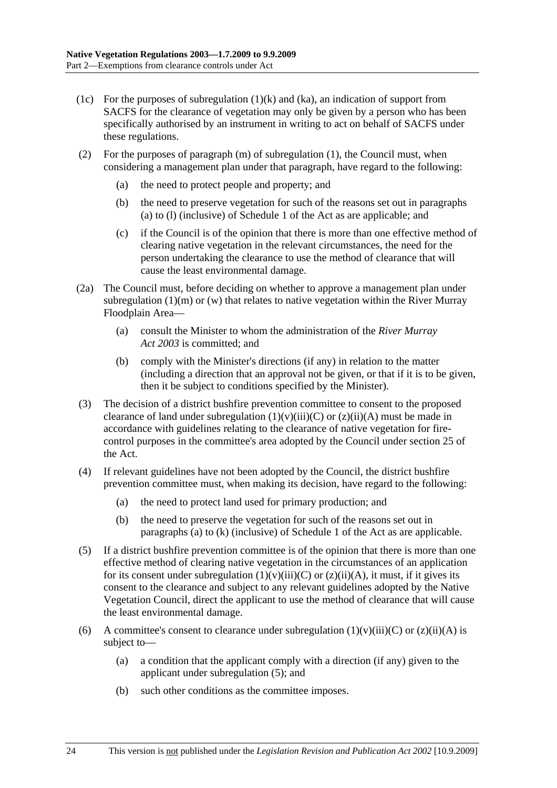- (1c) For the purposes of subregulation  $(1)(k)$  and  $(ka)$ , an indication of support from SACFS for the clearance of vegetation may only be given by a person who has been specifically authorised by an instrument in writing to act on behalf of SACFS under these regulations.
- (2) For the purposes of paragraph (m) of subregulation (1), the Council must, when considering a management plan under that paragraph, have regard to the following:
	- (a) the need to protect people and property; and
	- (b) the need to preserve vegetation for such of the reasons set out in paragraphs (a) to (l) (inclusive) of Schedule 1 of the Act as are applicable; and
	- (c) if the Council is of the opinion that there is more than one effective method of clearing native vegetation in the relevant circumstances, the need for the person undertaking the clearance to use the method of clearance that will cause the least environmental damage.
- (2a) The Council must, before deciding on whether to approve a management plan under subregulation  $(1)(m)$  or  $(w)$  that relates to native vegetation within the River Murray Floodplain Area—
	- (a) consult the Minister to whom the administration of the *River Murray Act 2003* is committed; and
	- (b) comply with the Minister's directions (if any) in relation to the matter (including a direction that an approval not be given, or that if it is to be given, then it be subject to conditions specified by the Minister).
- (3) The decision of a district bushfire prevention committee to consent to the proposed clearance of land under subregulation  $(1)(v)(iii)(C)$  or  $(z)(ii)(A)$  must be made in accordance with guidelines relating to the clearance of native vegetation for firecontrol purposes in the committee's area adopted by the Council under section 25 of the Act.
- (4) If relevant guidelines have not been adopted by the Council, the district bushfire prevention committee must, when making its decision, have regard to the following:
	- (a) the need to protect land used for primary production; and
	- (b) the need to preserve the vegetation for such of the reasons set out in paragraphs (a) to (k) (inclusive) of Schedule 1 of the Act as are applicable.
- (5) If a district bushfire prevention committee is of the opinion that there is more than one effective method of clearing native vegetation in the circumstances of an application for its consent under subregulation  $(1)(v)(iii)(C)$  or  $(z)(ii)(A)$ , it must, if it gives its consent to the clearance and subject to any relevant guidelines adopted by the Native Vegetation Council, direct the applicant to use the method of clearance that will cause the least environmental damage.
- (6) A committee's consent to clearance under subregulation  $(1)(v)(iii)(C)$  or  $(z)(ii)(A)$  is subject to—
	- (a) a condition that the applicant comply with a direction (if any) given to the applicant under subregulation (5); and
	- (b) such other conditions as the committee imposes.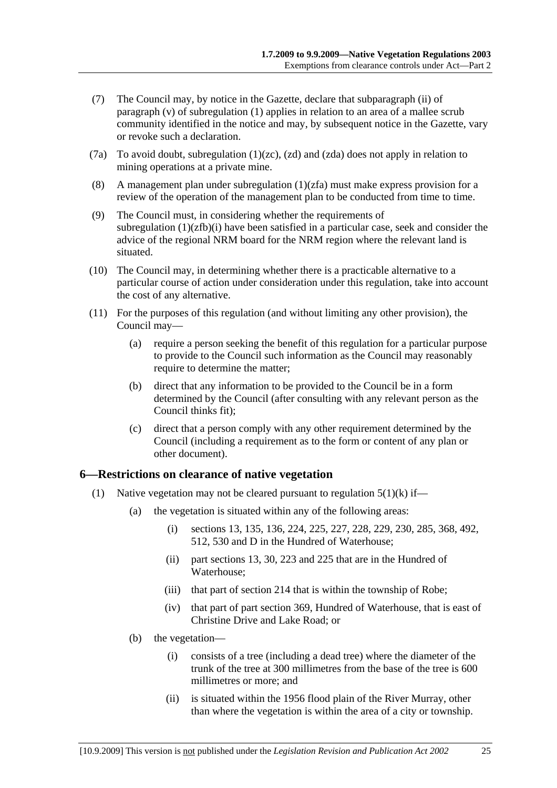- (7) The Council may, by notice in the Gazette, declare that subparagraph (ii) of paragraph (v) of subregulation (1) applies in relation to an area of a mallee scrub community identified in the notice and may, by subsequent notice in the Gazette, vary or revoke such a declaration.
- (7a) To avoid doubt, subregulation (1)(zc), (zd) and (zda) does not apply in relation to mining operations at a private mine.
- (8) A management plan under subregulation (1)(zfa) must make express provision for a review of the operation of the management plan to be conducted from time to time.
- (9) The Council must, in considering whether the requirements of subregulation  $(1)(zfb)(i)$  have been satisfied in a particular case, seek and consider the advice of the regional NRM board for the NRM region where the relevant land is situated.
- (10) The Council may, in determining whether there is a practicable alternative to a particular course of action under consideration under this regulation, take into account the cost of any alternative.
- (11) For the purposes of this regulation (and without limiting any other provision), the Council may—
	- (a) require a person seeking the benefit of this regulation for a particular purpose to provide to the Council such information as the Council may reasonably require to determine the matter;
	- (b) direct that any information to be provided to the Council be in a form determined by the Council (after consulting with any relevant person as the Council thinks fit);
	- (c) direct that a person comply with any other requirement determined by the Council (including a requirement as to the form or content of any plan or other document).

### **6—Restrictions on clearance of native vegetation**

- (1) Native vegetation may not be cleared pursuant to regulation  $5(1)(k)$  if—
	- (a) the vegetation is situated within any of the following areas:
		- (i) sections 13, 135, 136, 224, 225, 227, 228, 229, 230, 285, 368, 492, 512, 530 and D in the Hundred of Waterhouse;
		- (ii) part sections 13, 30, 223 and 225 that are in the Hundred of Waterhouse;
		- (iii) that part of section 214 that is within the township of Robe;
		- (iv) that part of part section 369, Hundred of Waterhouse, that is east of Christine Drive and Lake Road; or
	- (b) the vegetation—
		- (i) consists of a tree (including a dead tree) where the diameter of the trunk of the tree at 300 millimetres from the base of the tree is 600 millimetres or more; and
		- (ii) is situated within the 1956 flood plain of the River Murray, other than where the vegetation is within the area of a city or township.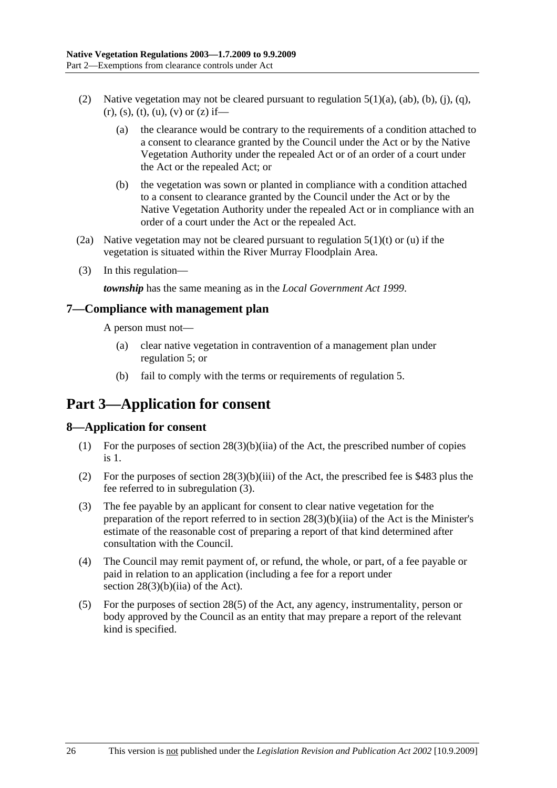- (2) Native vegetation may not be cleared pursuant to regulation  $5(1)(a)$ ,  $(ab)$ ,  $(b)$ ,  $(i)$ ,  $(a)$ ,  $(r), (s), (t), (u), (v)$  or  $(z)$  if—
	- (a) the clearance would be contrary to the requirements of a condition attached to a consent to clearance granted by the Council under the Act or by the Native Vegetation Authority under the repealed Act or of an order of a court under the Act or the repealed Act; or
	- (b) the vegetation was sown or planted in compliance with a condition attached to a consent to clearance granted by the Council under the Act or by the Native Vegetation Authority under the repealed Act or in compliance with an order of a court under the Act or the repealed Act.
- (2a) Native vegetation may not be cleared pursuant to regulation  $5(1)(t)$  or (u) if the vegetation is situated within the River Murray Floodplain Area.
- (3) In this regulation—

*township* has the same meaning as in the *Local Government Act 1999*.

### **7—Compliance with management plan**

A person must not—

- (a) clear native vegetation in contravention of a management plan under regulation 5; or
- (b) fail to comply with the terms or requirements of regulation 5.

# **Part 3—Application for consent**

### **8—Application for consent**

- (1) For the purposes of section 28(3)(b)(iia) of the Act, the prescribed number of copies is 1.
- (2) For the purposes of section 28(3)(b)(iii) of the Act, the prescribed fee is \$483 plus the fee referred to in subregulation (3).
- (3) The fee payable by an applicant for consent to clear native vegetation for the preparation of the report referred to in section 28(3)(b)(iia) of the Act is the Minister's estimate of the reasonable cost of preparing a report of that kind determined after consultation with the Council.
- (4) The Council may remit payment of, or refund, the whole, or part, of a fee payable or paid in relation to an application (including a fee for a report under section  $28(3)(b)(ii)$  of the Act).
- (5) For the purposes of section 28(5) of the Act, any agency, instrumentality, person or body approved by the Council as an entity that may prepare a report of the relevant kind is specified.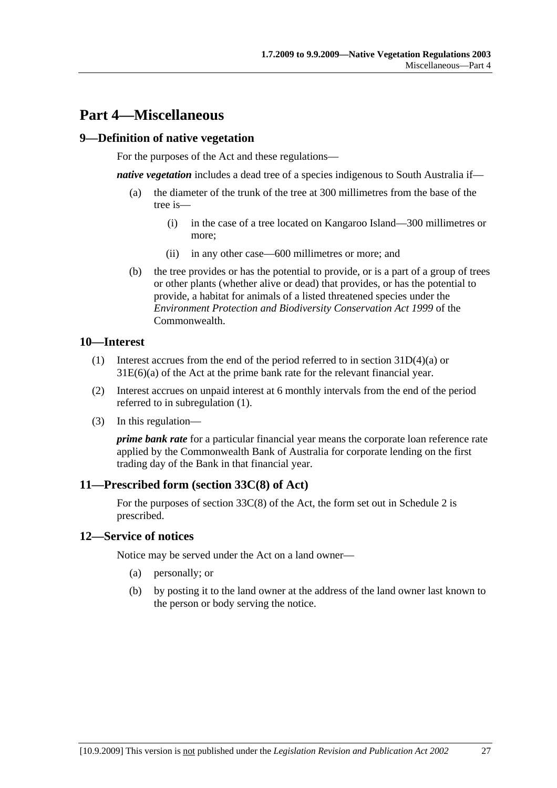# **Part 4—Miscellaneous**

### **9—Definition of native vegetation**

For the purposes of the Act and these regulations—

*native vegetation* includes a dead tree of a species indigenous to South Australia if—

- (a) the diameter of the trunk of the tree at 300 millimetres from the base of the tree is—
	- (i) in the case of a tree located on Kangaroo Island—300 millimetres or more;
	- (ii) in any other case—600 millimetres or more; and
- (b) the tree provides or has the potential to provide, or is a part of a group of trees or other plants (whether alive or dead) that provides, or has the potential to provide, a habitat for animals of a listed threatened species under the *Environment Protection and Biodiversity Conservation Act 1999* of the Commonwealth.

### **10—Interest**

- (1) Interest accrues from the end of the period referred to in section 31D(4)(a) or 31E(6)(a) of the Act at the prime bank rate for the relevant financial year.
- (2) Interest accrues on unpaid interest at 6 monthly intervals from the end of the period referred to in subregulation (1).
- (3) In this regulation—

*prime bank rate* for a particular financial year means the corporate loan reference rate applied by the Commonwealth Bank of Australia for corporate lending on the first trading day of the Bank in that financial year.

### **11—Prescribed form (section 33C(8) of Act)**

For the purposes of section 33C(8) of the Act, the form set out in Schedule 2 is prescribed.

### **12—Service of notices**

Notice may be served under the Act on a land owner—

- (a) personally; or
- (b) by posting it to the land owner at the address of the land owner last known to the person or body serving the notice.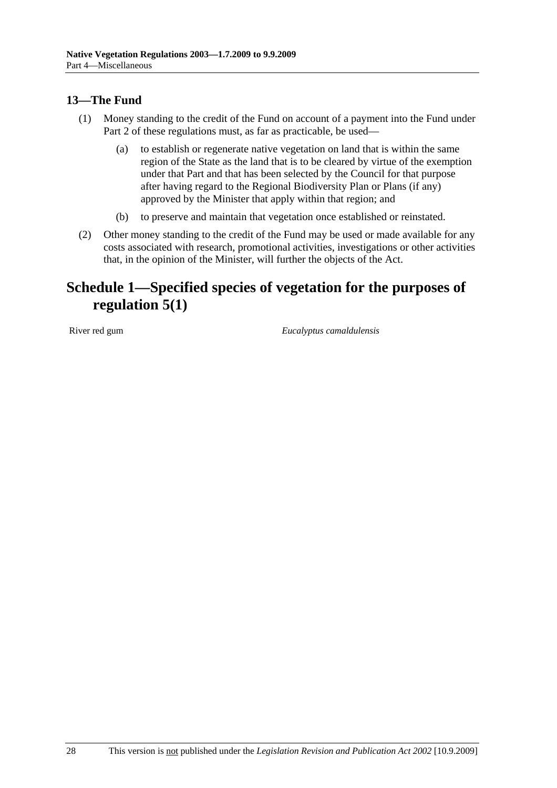# **13—The Fund**

- (1) Money standing to the credit of the Fund on account of a payment into the Fund under Part 2 of these regulations must, as far as practicable, be used—
	- (a) to establish or regenerate native vegetation on land that is within the same region of the State as the land that is to be cleared by virtue of the exemption under that Part and that has been selected by the Council for that purpose after having regard to the Regional Biodiversity Plan or Plans (if any) approved by the Minister that apply within that region; and
	- (b) to preserve and maintain that vegetation once established or reinstated.
- (2) Other money standing to the credit of the Fund may be used or made available for any costs associated with research, promotional activities, investigations or other activities that, in the opinion of the Minister, will further the objects of the Act.

# **Schedule 1—Specified species of vegetation for the purposes of regulation 5(1)**

River red gum *Eucalyptus camaldulensis*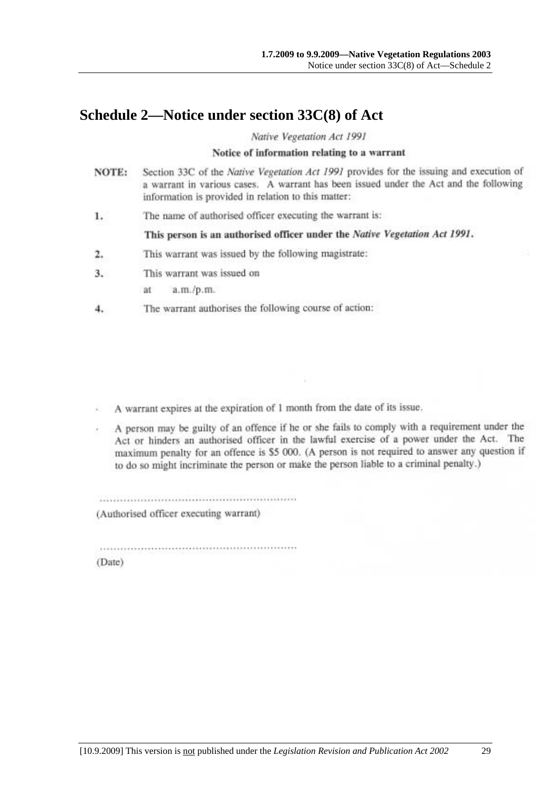# **Schedule 2—Notice under section 33C(8) of Act**

Native Vegetation Act 1991

#### Notice of information relating to a warrant

- Section 33C of the Native Vegetation Act 1991 provides for the issuing and execution of NOTE: a warrant in various cases. A warrant has been issued under the Act and the following information is provided in relation to this matter:
- The name of authorised officer executing the warrant is: 1.

This person is an authorised officer under the Native Vegetation Act 1991.

- This warrant was issued by the following magistrate: 2.
- This warrant was issued on 3.

 $a.m./p.m.$ ät

The warrant authorises the following course of action: 4.

A warrant expires at the expiration of 1 month from the date of its issue.

A person may be guilty of an offence if he or she fails to comply with a requirement under the Act or hinders an authorised officer in the lawful exercise of a power under the Act. The maximum penalty for an offence is \$5 000. (A person is not required to answer any question if to do so might incriminate the person or make the person liable to a criminal penalty.)

(Authorised officer executing warrant)

(Date)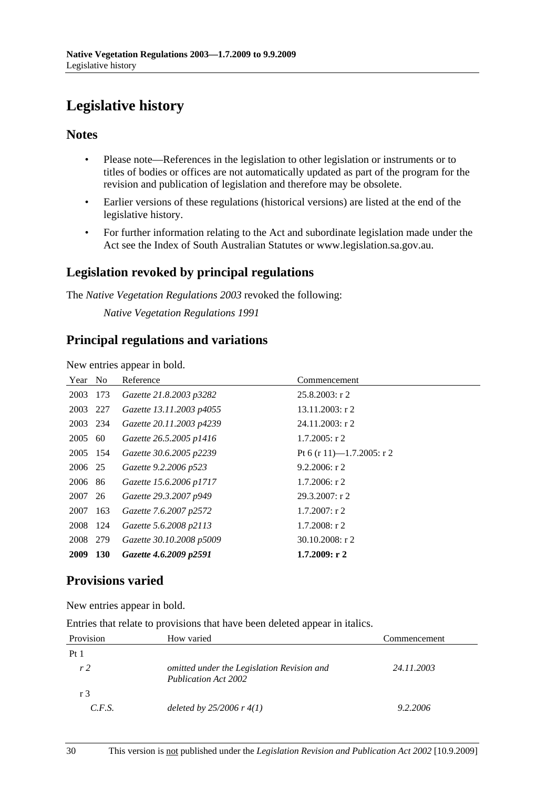# **Legislative history**

## **Notes**

- Please note—References in the legislation to other legislation or instruments or to titles of bodies or offices are not automatically updated as part of the program for the revision and publication of legislation and therefore may be obsolete.
- Earlier versions of these regulations (historical versions) are listed at the end of the legislative history.
- For further information relating to the Act and subordinate legislation made under the Act see the Index of South Australian Statutes or www.legislation.sa.gov.au.

# **Legislation revoked by principal regulations**

The *Native Vegetation Regulations 2003* revoked the following:

*Native Vegetation Regulations 1991*

# **Principal regulations and variations**

New entries appear in bold.

| Year No     |            | Reference                | Commencement              |
|-------------|------------|--------------------------|---------------------------|
| 2003        | 173        | Gazette 21.8.2003 p3282  | $25.8.2003$ : r 2         |
| 2003 227    |            | Gazette 13.11.2003 p4055 | $13.11.2003$ : r 2        |
| 2003 234    |            | Gazette 20.11.2003 p4239 | $24.11.2003$ : r 2        |
| 2005        | 60         | Gazette 26.5.2005 p1416  | $1.7.2005$ : r 2          |
| 2005 154    |            | Gazette 30.6.2005 p2239  | Pt 6 (r 11)—1.7.2005: r 2 |
| 2006 25     |            | Gazette 9.2.2006 p523    | $9.2.2006$ : r 2          |
| 2006        | 86         | Gazette 15.6.2006 p1717  | $1.7.2006$ : r 2          |
| 2007        | 26         | Gazette 29.3.2007 p949   | $29.3.2007:$ r 2          |
| 2007        | 163        | Gazette 7.6.2007 p2572   | $1.7.2007$ : r 2          |
| 2008        | 124        | Gazette 5.6.2008 p2113   | $1.7.2008$ : r 2          |
| 2008        | 279        | Gazette 30.10.2008 p5009 | $30.10.2008$ : r 2        |
| <b>2009</b> | <b>130</b> | Gazette 4.6.2009 p2591   | 1.7.2009: r2              |

# **Provisions varied**

New entries appear in bold.

Entries that relate to provisions that have been deleted appear in italics.

| Provision       | How varied                                                         | Commencement |
|-----------------|--------------------------------------------------------------------|--------------|
| Pt <sub>1</sub> |                                                                    |              |
| r <sub>2</sub>  | omitted under the Legislation Revision and<br>Publication Act 2002 | 24.11.2003   |
| r 3             |                                                                    |              |
| C.F.S.          | deleted by $25/2006$ r $4(1)$                                      | 9.2.2006     |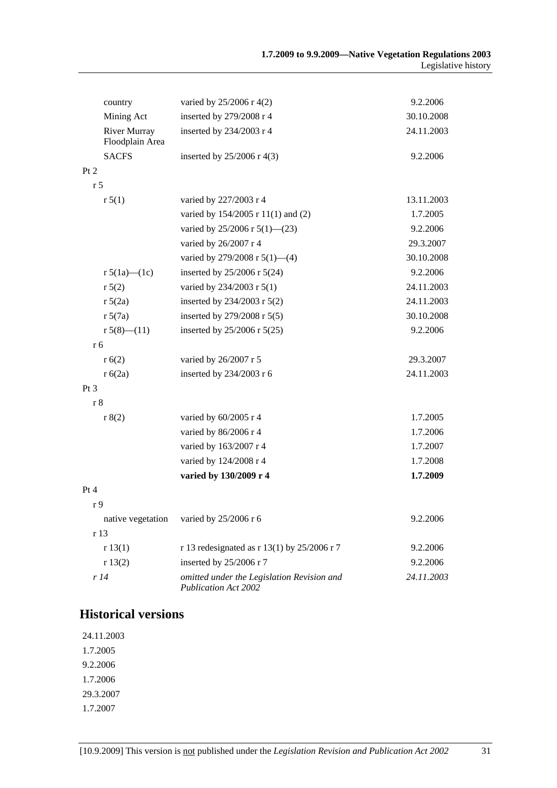| country                                | varied by 25/2006 r 4(2)                                           | 9.2.2006   |
|----------------------------------------|--------------------------------------------------------------------|------------|
| Mining Act                             | inserted by 279/2008 r 4                                           | 30.10.2008 |
| <b>River Murray</b><br>Floodplain Area | inserted by 234/2003 r 4                                           | 24.11.2003 |
| <b>SACFS</b>                           | inserted by $25/2006$ r 4(3)                                       | 9.2.2006   |
| Pt 2                                   |                                                                    |            |
| r 5                                    |                                                                    |            |
| r 5(1)                                 | varied by 227/2003 r 4                                             | 13.11.2003 |
|                                        | varied by 154/2005 r 11(1) and (2)                                 | 1.7.2005   |
|                                        | varied by $25/2006$ r $5(1)$ — $(23)$                              | 9.2.2006   |
|                                        | varied by 26/2007 r 4                                              | 29.3.2007  |
|                                        | varied by 279/2008 r $5(1)$ —(4)                                   | 30.10.2008 |
| r $5(1a)$ — $(1c)$                     | inserted by 25/2006 r 5(24)                                        | 9.2.2006   |
| r 5(2)                                 | varied by 234/2003 r 5(1)                                          | 24.11.2003 |
| r 5(2a)                                | inserted by 234/2003 r 5(2)                                        | 24.11.2003 |
| r 5(7a)                                | inserted by 279/2008 r 5(5)                                        | 30.10.2008 |
| r $5(8)$ — $(11)$                      | inserted by 25/2006 r 5(25)                                        | 9.2.2006   |
| r 6                                    |                                                                    |            |
| r(6(2))                                | varied by 26/2007 r 5                                              | 29.3.2007  |
| r 6(2a)                                | inserted by 234/2003 r 6                                           | 24.11.2003 |
| Pt <sub>3</sub>                        |                                                                    |            |
| r 8                                    |                                                                    |            |
| r 8(2)                                 | varied by 60/2005 r 4                                              | 1.7.2005   |
|                                        | varied by 86/2006 r 4                                              | 1.7.2006   |
|                                        | varied by 163/2007 r 4                                             | 1.7.2007   |
|                                        | varied by 124/2008 r 4                                             | 1.7.2008   |
|                                        | varied by 130/2009 r 4                                             | 1.7.2009   |
| Pt 4                                   |                                                                    |            |
| r 9                                    |                                                                    |            |
| native vegetation                      | varied by 25/2006 r 6                                              | 9.2.2006   |
| r <sub>13</sub>                        |                                                                    |            |
| r 13(1)                                | r 13 redesignated as $r$ 13(1) by 25/2006 r 7                      | 9.2.2006   |
| r 13(2)                                | inserted by 25/2006 r 7                                            | 9.2.2006   |
| r14                                    | omitted under the Legislation Revision and<br>Publication Act 2002 | 24.11.2003 |

## **Historical versions**

24.11.2003 1.7.2005 9.2.2006 1.7.2006 29.3.2007 1.7.2007